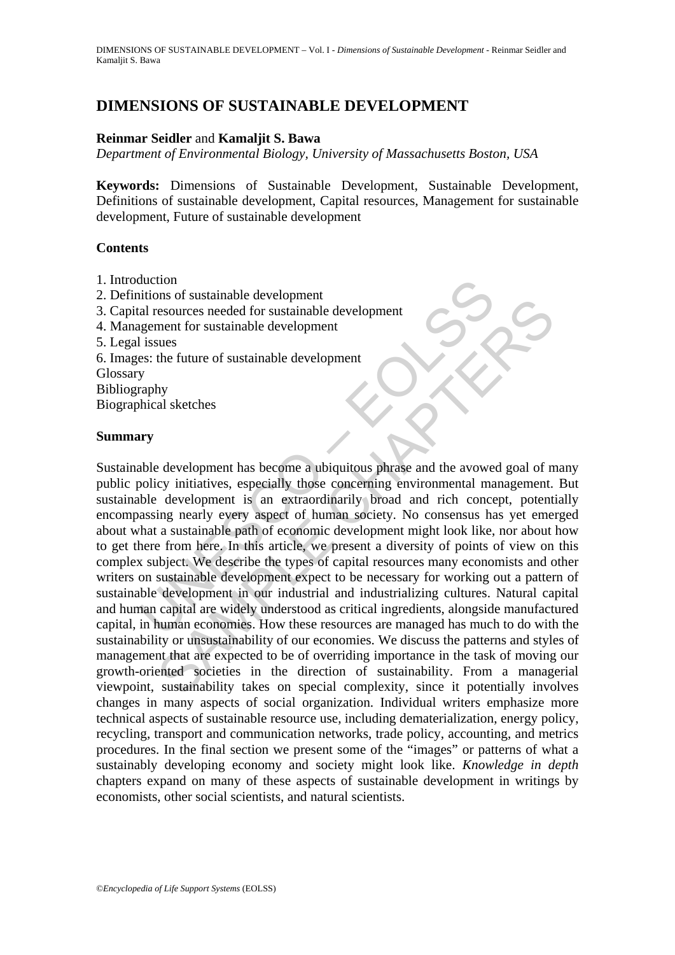# **DIMENSIONS OF SUSTAINABLE DEVELOPMENT**

## **Reinmar Seidler** and **Kamaljit S. Bawa**

*Department of Environmental Biology, University of Massachusetts Boston, USA*

**Keywords:** Dimensions of Sustainable Development, Sustainable Development, Definitions of sustainable development, Capital resources, Management for sustainable development, Future of sustainable development

### **Contents**

- 1. Introduction
- 2. Definitions of sustainable development
- 3. Capital resources needed for sustainable development
- 4. Management for sustainable development
- 5. Legal issues
- 6. Images: the future of sustainable development

Glossary

Bibliography

Biographical sketches

### **Summary**

duction<br>
al resources needed for sustainable development<br>
al resources needed for sustainable development<br>
I issues<br>
ses: the future of sustainable development<br>
y<br>
y<br>
aphy<br>
y<br>
aphy<br>
y<br>
aphy<br>
y<br>
aphy<br>
y<br>
aphy<br>
y<br>
aphy<br>
y<br>
a This or sustainable development<br>
sesources needed for sustainable development<br>
the future of sustainable development<br>
the future of sustainable development<br>
sus<br>
the future of sustainable development<br>
sus<br>
cerve initiative Sustainable development has become a ubiquitous phrase and the avowed goal of many public policy initiatives, especially those concerning environmental management. But sustainable development is an extraordinarily broad and rich concept, potentially encompassing nearly every aspect of human society. No consensus has yet emerged about what a sustainable path of economic development might look like, nor about how to get there from here. In this article, we present a diversity of points of view on this complex subject. We describe the types of capital resources many economists and other writers on sustainable development expect to be necessary for working out a pattern of sustainable development in our industrial and industrializing cultures. Natural capital and human capital are widely understood as critical ingredients, alongside manufactured capital, in human economies. How these resources are managed has much to do with the sustainability or unsustainability of our economies. We discuss the patterns and styles of management that are expected to be of overriding importance in the task of moving our growth-oriented societies in the direction of sustainability. From a managerial viewpoint, sustainability takes on special complexity, since it potentially involves changes in many aspects of social organization. Individual writers emphasize more technical aspects of sustainable resource use, including dematerialization, energy policy, recycling, transport and communication networks, trade policy, accounting, and metrics procedures. In the final section we present some of the "images" or patterns of what a sustainably developing economy and society might look like. *Knowledge in depth* chapters expand on many of these aspects of sustainable development in writings by economists, other social scientists, and natural scientists.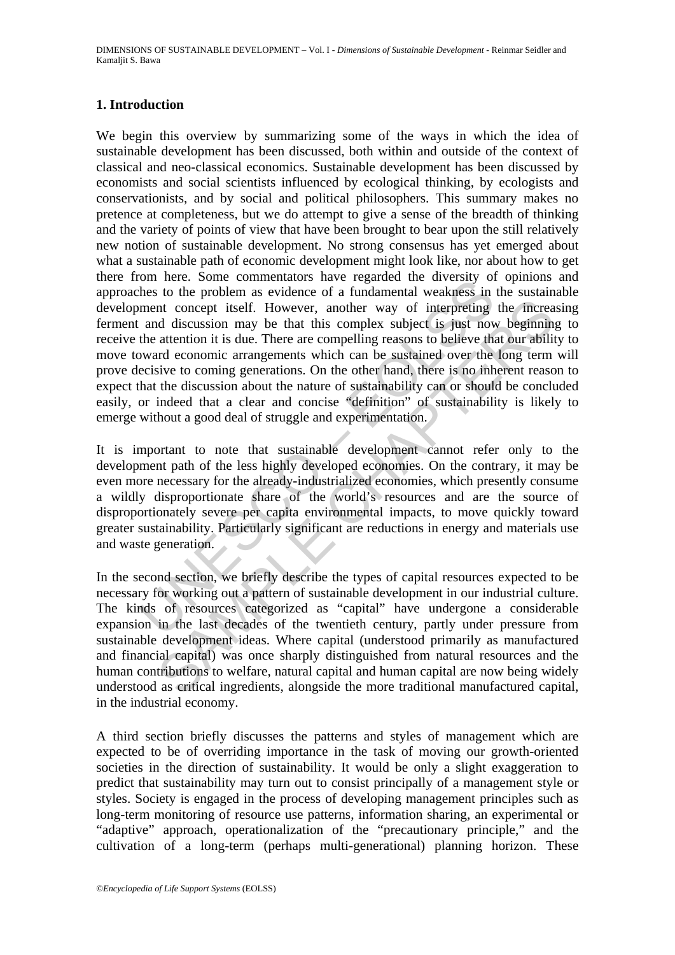## **1. Introduction**

on net. Some commentators have regalated the twersiny on<br>the to the problem as evidence of a fundamental weakness in<br>ment concept itself. However, another way of interpreting<br>and discussion may be that this complex subject In the concept itself. However, another way of interpreting the incread discussion may be that this complex subject is just now beginning attention it is due. There are compelling reasons to believe that our ability and ec We begin this overview by summarizing some of the ways in which the idea of sustainable development has been discussed, both within and outside of the context of classical and neo-classical economics. Sustainable development has been discussed by economists and social scientists influenced by ecological thinking, by ecologists and conservationists, and by social and political philosophers. This summary makes no pretence at completeness, but we do attempt to give a sense of the breadth of thinking and the variety of points of view that have been brought to bear upon the still relatively new notion of sustainable development. No strong consensus has yet emerged about what a sustainable path of economic development might look like, nor about how to get there from here. Some commentators have regarded the diversity of opinions and approaches to the problem as evidence of a fundamental weakness in the sustainable development concept itself. However, another way of interpreting the increasing ferment and discussion may be that this complex subject is just now beginning to receive the attention it is due. There are compelling reasons to believe that our ability to move toward economic arrangements which can be sustained over the long term will prove decisive to coming generations. On the other hand, there is no inherent reason to expect that the discussion about the nature of sustainability can or should be concluded easily, or indeed that a clear and concise "definition" of sustainability is likely to emerge without a good deal of struggle and experimentation.

It is important to note that sustainable development cannot refer only to the development path of the less highly developed economies. On the contrary, it may be even more necessary for the already-industrialized economies, which presently consume a wildly disproportionate share of the world's resources and are the source of disproportionately severe per capita environmental impacts, to move quickly toward greater sustainability. Particularly significant are reductions in energy and materials use and waste generation.

In the second section, we briefly describe the types of capital resources expected to be necessary for working out a pattern of sustainable development in our industrial culture. The kinds of resources categorized as "capital" have undergone a considerable expansion in the last decades of the twentieth century, partly under pressure from sustainable development ideas. Where capital (understood primarily as manufactured and financial capital) was once sharply distinguished from natural resources and the human contributions to welfare, natural capital and human capital are now being widely understood as critical ingredients, alongside the more traditional manufactured capital, in the industrial economy.

A third section briefly discusses the patterns and styles of management which are expected to be of overriding importance in the task of moving our growth-oriented societies in the direction of sustainability. It would be only a slight exaggeration to predict that sustainability may turn out to consist principally of a management style or styles. Society is engaged in the process of developing management principles such as long-term monitoring of resource use patterns, information sharing, an experimental or "adaptive" approach, operationalization of the "precautionary principle," and the cultivation of a long-term (perhaps multi-generational) planning horizon. These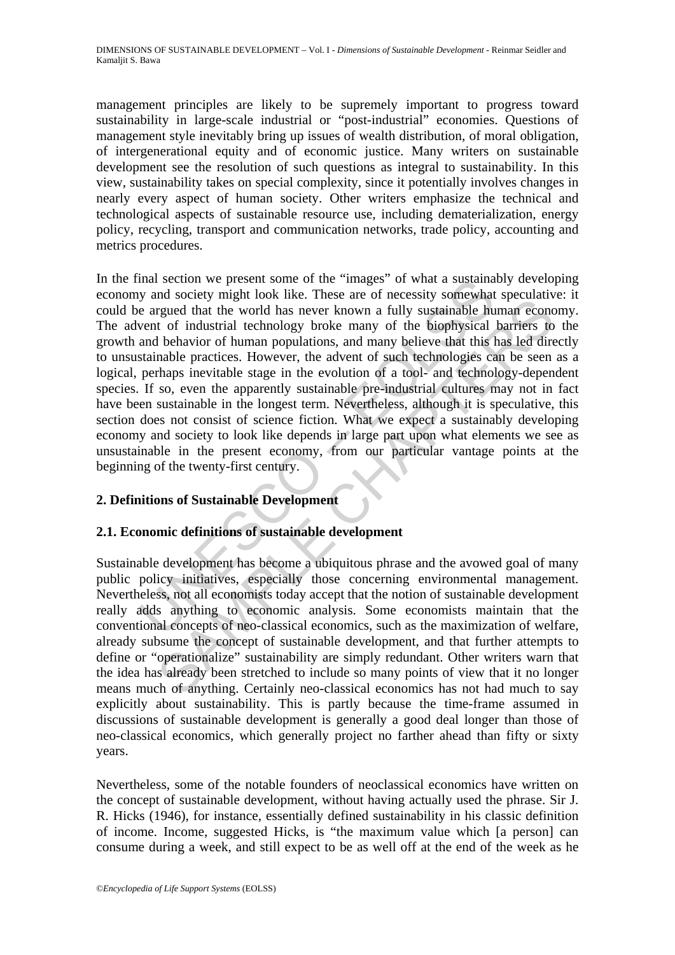management principles are likely to be supremely important to progress toward sustainability in large-scale industrial or "post-industrial" economies. Questions of management style inevitably bring up issues of wealth distribution, of moral obligation, of intergenerational equity and of economic justice. Many writers on sustainable development see the resolution of such questions as integral to sustainability. In this view, sustainability takes on special complexity, since it potentially involves changes in nearly every aspect of human society. Other writers emphasize the technical and technological aspects of sustainable resource use, including dematerialization, energy policy, recycling, transport and communication networks, trade policy, accounting and metrics procedures.

mal section we present some of the "images" of what a sustaina<br>
y and society might look like. These are of necessity somewhat<br>
e argued that the world has never known a fully sustainable hu<br>
year argued that the world has In society imagn took met. These are of necessary somewhat spectamary experiments are represented to findustrial technology broke many of the biophysical barriers to behavior of human populations, and many believe that thi In the final section we present some of the "images" of what a sustainably developing economy and society might look like. These are of necessity somewhat speculative: it could be argued that the world has never known a fully sustainable human economy. The advent of industrial technology broke many of the biophysical barriers to the growth and behavior of human populations, and many believe that this has led directly to unsustainable practices. However, the advent of such technologies can be seen as a logical, perhaps inevitable stage in the evolution of a tool- and technology-dependent species. If so, even the apparently sustainable pre-industrial cultures may not in fact have been sustainable in the longest term. Nevertheless, although it is speculative, this section does not consist of science fiction. What we expect a sustainably developing economy and society to look like depends in large part upon what elements we see as unsustainable in the present economy, from our particular vantage points at the beginning of the twenty-first century.

# **2. Definitions of Sustainable Development**

## **2.1. Economic definitions of sustainable development**

Sustainable development has become a ubiquitous phrase and the avowed goal of many public policy initiatives, especially those concerning environmental management. Nevertheless, not all economists today accept that the notion of sustainable development really adds anything to economic analysis. Some economists maintain that the conventional concepts of neo-classical economics, such as the maximization of welfare, already subsume the concept of sustainable development, and that further attempts to define or "operationalize" sustainability are simply redundant. Other writers warn that the idea has already been stretched to include so many points of view that it no longer means much of anything. Certainly neo-classical economics has not had much to say explicitly about sustainability. This is partly because the time-frame assumed in discussions of sustainable development is generally a good deal longer than those of neo-classical economics, which generally project no farther ahead than fifty or sixty years.

Nevertheless, some of the notable founders of neoclassical economics have written on the concept of sustainable development, without having actually used the phrase. Sir J. R. Hicks (1946), for instance, essentially defined sustainability in his classic definition of income. Income, suggested Hicks, is "the maximum value which [a person] can consume during a week, and still expect to be as well off at the end of the week as he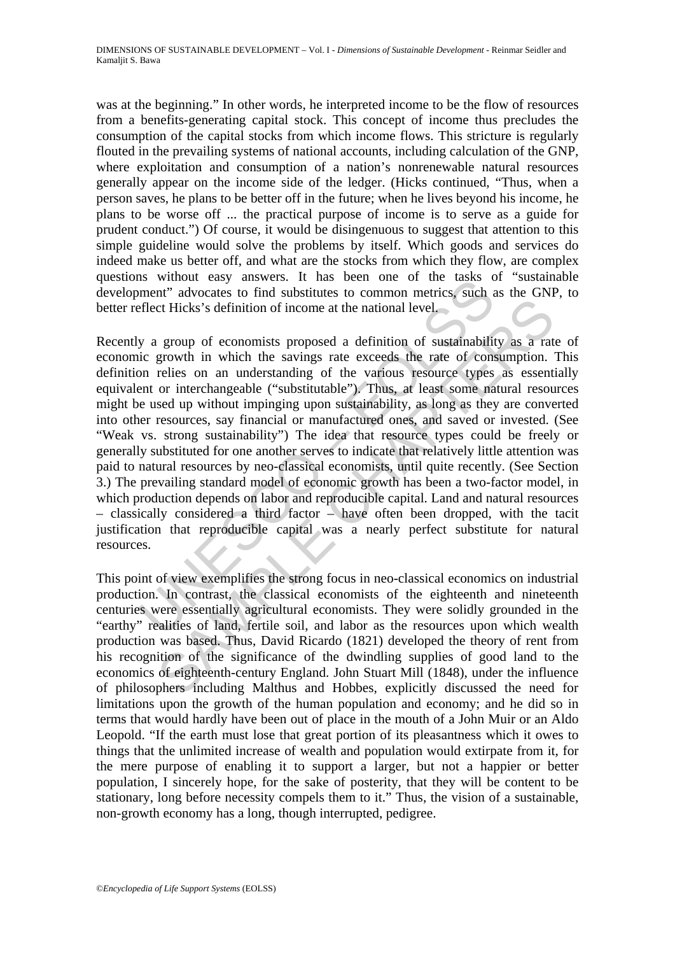was at the beginning." In other words, he interpreted income to be the flow of resources from a benefits-generating capital stock. This concept of income thus precludes the consumption of the capital stocks from which income flows. This stricture is regularly flouted in the prevailing systems of national accounts, including calculation of the GNP, where exploitation and consumption of a nation's nonrenewable natural resources generally appear on the income side of the ledger. (Hicks continued, "Thus, when a person saves, he plans to be better off in the future; when he lives beyond his income, he plans to be worse off ... the practical purpose of income is to serve as a guide for prudent conduct.") Of course, it would be disingenuous to suggest that attention to this simple guideline would solve the problems by itself. Which goods and services do indeed make us better off, and what are the stocks from which they flow, are complex questions without easy answers. It has been one of the tasks of "sustainable development" advocates to find substitutes to common metrics, such as the GNP, to better reflect Hicks's definition of income at the national level.

Is winduct easy answers. It has been one of the dissues the memetritrical vocates to find substitutes to common metrics, such a flect Hicks's definition of income at the national level, y a group of economists proposed a d et Hicks's definition of income at the national level.<br>
et Hicks's definition of income at the national level.<br>
group of economists proposed a definition of sustainability as a rat<br>
growth in which the savings rate exceeds Recently a group of economists proposed a definition of sustainability as a rate of economic growth in which the savings rate exceeds the rate of consumption. This definition relies on an understanding of the various resource types as essentially equivalent or interchangeable ("substitutable"). Thus, at least some natural resources might be used up without impinging upon sustainability, as long as they are converted into other resources, say financial or manufactured ones, and saved or invested. (See "Weak vs. strong sustainability") The idea that resource types could be freely or generally substituted for one another serves to indicate that relatively little attention was paid to natural resources by neo-classical economists, until quite recently. (See Section 3.) The prevailing standard model of economic growth has been a two-factor model, in which production depends on labor and reproducible capital. Land and natural resources – classically considered a third factor – have often been dropped, with the tacit justification that reproducible capital was a nearly perfect substitute for natural resources.

This point of view exemplifies the strong focus in neo-classical economics on industrial production. In contrast, the classical economists of the eighteenth and nineteenth centuries were essentially agricultural economists. They were solidly grounded in the "earthy" realities of land, fertile soil, and labor as the resources upon which wealth production was based. Thus, David Ricardo (1821) developed the theory of rent from his recognition of the significance of the dwindling supplies of good land to the economics of eighteenth-century England. John Stuart Mill (1848), under the influence of philosophers including Malthus and Hobbes, explicitly discussed the need for limitations upon the growth of the human population and economy; and he did so in terms that would hardly have been out of place in the mouth of a John Muir or an Aldo Leopold. "If the earth must lose that great portion of its pleasantness which it owes to things that the unlimited increase of wealth and population would extirpate from it, for the mere purpose of enabling it to support a larger, but not a happier or better population, I sincerely hope, for the sake of posterity, that they will be content to be stationary, long before necessity compels them to it." Thus, the vision of a sustainable, non-growth economy has a long, though interrupted, pedigree.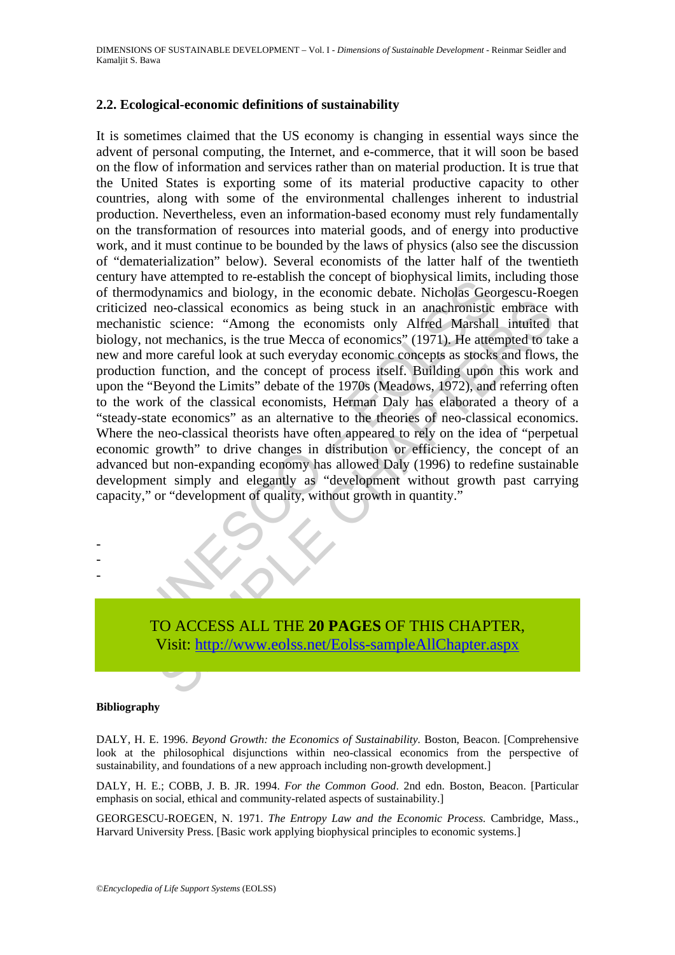## **2.2. Ecological-economic definitions of sustainability**

mave attempted to re-establish the cluency of nonlythscan minist,<br>modynamics and biology, in the conomic debate. Nicholas Geod neo-classical economics as being stuck in an anachronistic<br>stituc science: "Among the economist neo-classical economics as being stuck in an anachronistic embrace<br>excelence: "Among the economists only Alfred Marshall intuited<br>of mechanics, is the true Mecca of economics<sup>7</sup> (1971). He atempted to a<br>ore careful look at It is sometimes claimed that the US economy is changing in essential ways since the advent of personal computing, the Internet, and e-commerce, that it will soon be based on the flow of information and services rather than on material production. It is true that the United States is exporting some of its material productive capacity to other countries, along with some of the environmental challenges inherent to industrial production. Nevertheless, even an information-based economy must rely fundamentally on the transformation of resources into material goods, and of energy into productive work, and it must continue to be bounded by the laws of physics (also see the discussion of "dematerialization" below). Several economists of the latter half of the twentieth century have attempted to re-establish the concept of biophysical limits, including those of thermodynamics and biology, in the economic debate. Nicholas Georgescu-Roegen criticized neo-classical economics as being stuck in an anachronistic embrace with mechanistic science: "Among the economists only Alfred Marshall intuited that biology, not mechanics, is the true Mecca of economics" (1971). He attempted to take a new and more careful look at such everyday economic concepts as stocks and flows, the production function, and the concept of process itself. Building upon this work and upon the "Beyond the Limits" debate of the 1970s (Meadows, 1972), and referring often to the work of the classical economists, Herman Daly has elaborated a theory of a "steady-state economics" as an alternative to the theories of neo-classical economics. Where the neo-classical theorists have often appeared to rely on the idea of "perpetual economic growth" to drive changes in distribution or efficiency, the concept of an advanced but non-expanding economy has allowed Daly (1996) to redefine sustainable development simply and elegantly as "development without growth past carrying capacity," or "development of quality, without growth in quantity."

TO ACCESS ALL THE **20 PAGES** OF THIS CHAPTER, Visit: http://www.eolss.net/Eolss-sampleAllChapter.aspx

#### **Bibliography**

- - -

DALY, H. E. 1996. *Beyond Growth: the Economics of Sustainability.* Boston, Beacon. [Comprehensive look at the philosophical disjunctions within neo-classical economics from the perspective of sustainability, and foundations of a new approach including non-growth development.]

DALY, H. E.; COBB, J. B. JR. 1994. *For the Common Good*. 2nd edn. Boston, Beacon. [Particular emphasis on social, ethical and community-related aspects of sustainability.]

GEORGESCU-ROEGEN, N. 1971. *The Entropy Law and the Economic Process.* Cambridge, Mass., Harvard University Press. [Basic work applying biophysical principles to economic systems.]